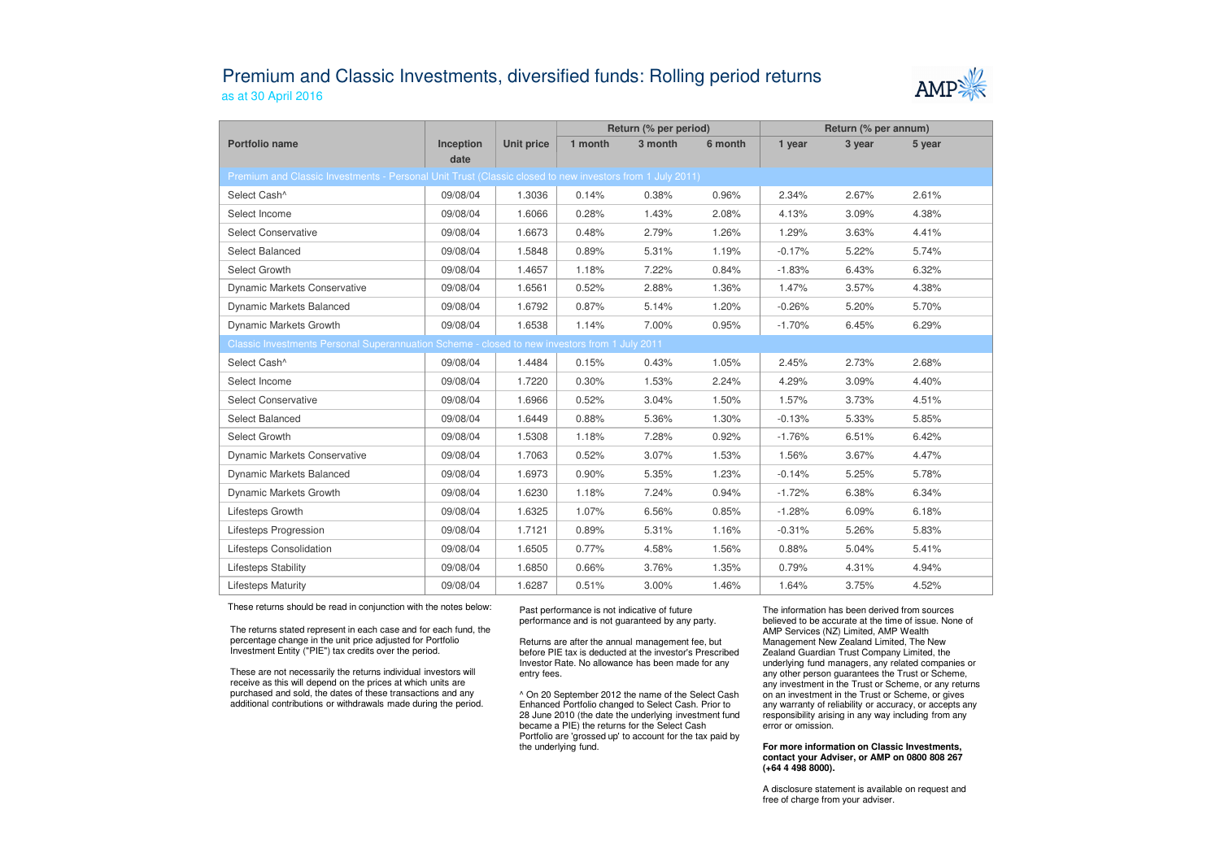## Premium and Classic Investments, diversified funds: Rolling period returnsas at 30 April 2016



|                                                                                                          |                   |                   | Return (% per period) |         |         | Return (% per annum) |        |        |  |  |  |
|----------------------------------------------------------------------------------------------------------|-------------------|-------------------|-----------------------|---------|---------|----------------------|--------|--------|--|--|--|
| Portfolio name                                                                                           | Inception<br>date | <b>Unit price</b> | 1 month               | 3 month | 6 month | 1 year               | 3 year | 5 year |  |  |  |
| Premium and Classic Investments - Personal Unit Trust (Classic closed to new investors from 1 July 2011) |                   |                   |                       |         |         |                      |        |        |  |  |  |
| Select Cash^                                                                                             | 09/08/04          | 1.3036            | 0.14%                 | 0.38%   | 0.96%   | 2.34%                | 2.67%  | 2.61%  |  |  |  |
| Select Income                                                                                            | 09/08/04          | 1.6066            | 0.28%                 | 1.43%   | 2.08%   | 4.13%                | 3.09%  | 4.38%  |  |  |  |
| <b>Select Conservative</b>                                                                               | 09/08/04          | 1.6673            | 0.48%                 | 2.79%   | 1.26%   | 1.29%                | 3.63%  | 4.41%  |  |  |  |
| Select Balanced                                                                                          | 09/08/04          | 1.5848            | 0.89%                 | 5.31%   | 1.19%   | $-0.17%$             | 5.22%  | 5.74%  |  |  |  |
| Select Growth                                                                                            | 09/08/04          | 1.4657            | 1.18%                 | 7.22%   | 0.84%   | $-1.83%$             | 6.43%  | 6.32%  |  |  |  |
| Dynamic Markets Conservative                                                                             | 09/08/04          | 1.6561            | 0.52%                 | 2.88%   | 1.36%   | 1.47%                | 3.57%  | 4.38%  |  |  |  |
| Dynamic Markets Balanced                                                                                 | 09/08/04          | 1.6792            | 0.87%                 | 5.14%   | 1.20%   | $-0.26%$             | 5.20%  | 5.70%  |  |  |  |
| Dynamic Markets Growth                                                                                   | 09/08/04          | 1.6538            | 1.14%                 | 7.00%   | 0.95%   | $-1.70%$             | 6.45%  | 6.29%  |  |  |  |
| Classic Investments Personal Superannuation Scheme - closed to new investors from 1 July 2011            |                   |                   |                       |         |         |                      |        |        |  |  |  |
| Select Cash^                                                                                             | 09/08/04          | 1.4484            | 0.15%                 | 0.43%   | 1.05%   | 2.45%                | 2.73%  | 2.68%  |  |  |  |
| Select Income                                                                                            | 09/08/04          | 1.7220            | 0.30%                 | 1.53%   | 2.24%   | 4.29%                | 3.09%  | 4.40%  |  |  |  |
| <b>Select Conservative</b>                                                                               | 09/08/04          | 1.6966            | 0.52%                 | 3.04%   | 1.50%   | 1.57%                | 3.73%  | 4.51%  |  |  |  |
| Select Balanced                                                                                          | 09/08/04          | 1.6449            | 0.88%                 | 5.36%   | 1.30%   | $-0.13%$             | 5.33%  | 5.85%  |  |  |  |
| Select Growth                                                                                            | 09/08/04          | 1.5308            | 1.18%                 | 7.28%   | 0.92%   | $-1.76%$             | 6.51%  | 6.42%  |  |  |  |
| <b>Dynamic Markets Conservative</b>                                                                      | 09/08/04          | 1.7063            | 0.52%                 | 3.07%   | 1.53%   | 1.56%                | 3.67%  | 4.47%  |  |  |  |
| Dynamic Markets Balanced                                                                                 | 09/08/04          | 1.6973            | 0.90%                 | 5.35%   | 1.23%   | $-0.14%$             | 5.25%  | 5.78%  |  |  |  |
| Dynamic Markets Growth                                                                                   | 09/08/04          | 1.6230            | 1.18%                 | 7.24%   | 0.94%   | $-1.72%$             | 6.38%  | 6.34%  |  |  |  |
| Lifesteps Growth                                                                                         | 09/08/04          | 1.6325            | 1.07%                 | 6.56%   | 0.85%   | $-1.28%$             | 6.09%  | 6.18%  |  |  |  |
| Lifesteps Progression                                                                                    | 09/08/04          | 1.7121            | 0.89%                 | 5.31%   | 1.16%   | $-0.31%$             | 5.26%  | 5.83%  |  |  |  |
| Lifesteps Consolidation                                                                                  | 09/08/04          | 1.6505            | 0.77%                 | 4.58%   | 1.56%   | 0.88%                | 5.04%  | 5.41%  |  |  |  |
| <b>Lifesteps Stability</b>                                                                               | 09/08/04          | 1.6850            | 0.66%                 | 3.76%   | 1.35%   | 0.79%                | 4.31%  | 4.94%  |  |  |  |
| <b>Lifesteps Maturity</b>                                                                                | 09/08/04          | 1.6287            | 0.51%                 | 3.00%   | 1.46%   | 1.64%                | 3.75%  | 4.52%  |  |  |  |

These returns should be read in conjunction with the notes below:

The returns stated represent in each case and for each fund, the percentage change in the unit price adjusted for Portfolio Investment Entity ("PIE") tax credits over the period.

These are not necessarily the returns individual investors will receive as this will depend on the prices at which units are purchased and sold, the dates of these transactions and any additional contributions or withdrawals made during the period. Past performance is not indicative of future performance and is not guaranteed by any party.

Returns are after the annual management fee, but before PIE tax is deducted at the investor's Prescribed Investor Rate. No allowance has been made for any entry fees.

^ On 20 September 2012 the name of the Select Cash Enhanced Portfolio changed to Select Cash. Prior to 28 June 2010 (the date the underlying investment fund became a PIE) the returns for the Select Cash Portfolio are 'grossed up' to account for the tax paid by the underlying fund.

The information has been derived from sources believed to be accurate at the time of issue. None of AMP Services (NZ) Limited, AMP Wealth Management New Zealand Limited, The New Zealand Guardian Trust Company Limited, the underlying fund managers, any related companies or any other person guarantees the Trust or Scheme, any investment in the Trust or Scheme, or any returns on an investment in the Trust or Scheme, or gives any warranty of reliability or accuracy, or accepts any responsibility arising in any way including from any error or omission.

## **For more information on Classic Investments, contact your Adviser, or AMP on 0800 808 267 (+64 4 498 8000).**

A disclosure statement is available on request and free of charge from your adviser.